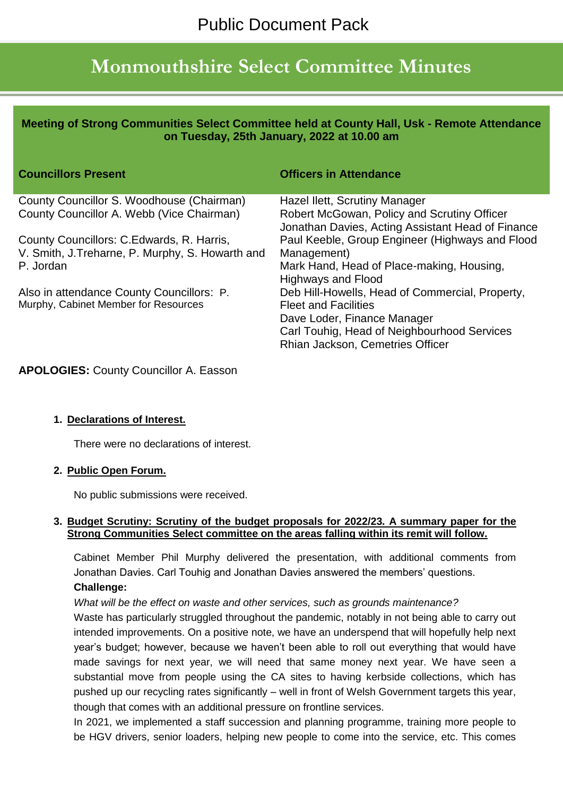# **Monmouthshire Select Committee Minutes**

**Meeting of Strong Communities Select Committee held at County Hall, Usk - Remote Attendance on Tuesday, 25th January, 2022 at 10.00 am**

| <b>Councillors Present</b>                      | <b>Officers in Attendance</b>                                                                    |
|-------------------------------------------------|--------------------------------------------------------------------------------------------------|
| County Councillor S. Woodhouse (Chairman)       | Hazel Ilett, Scrutiny Manager                                                                    |
| County Councillor A. Webb (Vice Chairman)       | Robert McGowan, Policy and Scrutiny Officer<br>Jonathan Davies, Acting Assistant Head of Finance |
| County Councillors: C.Edwards, R. Harris,       | Paul Keeble, Group Engineer (Highways and Flood                                                  |
| V. Smith, J.Treharne, P. Murphy, S. Howarth and | Management)                                                                                      |
| P. Jordan                                       | Mark Hand, Head of Place-making, Housing,<br><b>Highways and Flood</b>                           |
| Also in attendance County Councillors: P.       | Deb Hill-Howells, Head of Commercial, Property,                                                  |
| Murphy, Cabinet Member for Resources            | <b>Fleet and Facilities</b>                                                                      |
|                                                 | Dave Loder, Finance Manager                                                                      |
|                                                 | Carl Touhig, Head of Neighbourhood Services                                                      |
|                                                 | Rhian Jackson, Cemetries Officer                                                                 |

## **APOLOGIES:** County Councillor A. Easson

## **1. Declarations of Interest.**

There were no declarations of interest.

#### **2. Public Open Forum.**

No public submissions were received.

#### **3. Budget Scrutiny: Scrutiny of the budget proposals for 2022/23. A summary paper for the Strong Communities Select committee on the areas falling within its remit will follow.**

Cabinet Member Phil Murphy delivered the presentation, with additional comments from Jonathan Davies. Carl Touhig and Jonathan Davies answered the members' questions. **Challenge:**

*What will be the effect on waste and other services, such as grounds maintenance?*

Waste has particularly struggled throughout the pandemic, notably in not being able to carry out intended improvements. On a positive note, we have an underspend that will hopefully help next year's budget; however, because we haven't been able to roll out everything that would have made savings for next year, we will need that same money next year. We have seen a substantial move from people using the CA sites to having kerbside collections, which has pushed up our recycling rates significantly – well in front of Welsh Government targets this year, though that comes with an additional pressure on frontline services.

In 2021, we implemented a staff succession and planning programme, training more people to be HGV drivers, senior loaders, helping new people to come into the service, etc. This comes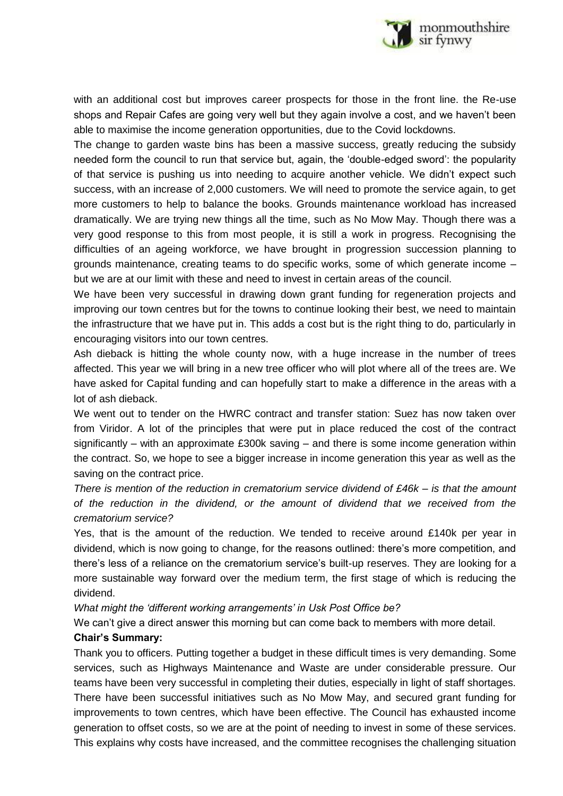

with an additional cost but improves career prospects for those in the front line. the Re-use shops and Repair Cafes are going very well but they again involve a cost, and we haven't been able to maximise the income generation opportunities, due to the Covid lockdowns.

The change to garden waste bins has been a massive success, greatly reducing the subsidy needed form the council to run that service but, again, the 'double-edged sword': the popularity of that service is pushing us into needing to acquire another vehicle. We didn't expect such success, with an increase of 2,000 customers. We will need to promote the service again, to get more customers to help to balance the books. Grounds maintenance workload has increased dramatically. We are trying new things all the time, such as No Mow May. Though there was a very good response to this from most people, it is still a work in progress. Recognising the difficulties of an ageing workforce, we have brought in progression succession planning to grounds maintenance, creating teams to do specific works, some of which generate income – but we are at our limit with these and need to invest in certain areas of the council.

We have been very successful in drawing down grant funding for regeneration projects and improving our town centres but for the towns to continue looking their best, we need to maintain the infrastructure that we have put in. This adds a cost but is the right thing to do, particularly in encouraging visitors into our town centres.

Ash dieback is hitting the whole county now, with a huge increase in the number of trees affected. This year we will bring in a new tree officer who will plot where all of the trees are. We have asked for Capital funding and can hopefully start to make a difference in the areas with a lot of ash dieback.

We went out to tender on the HWRC contract and transfer station: Suez has now taken over from Viridor. A lot of the principles that were put in place reduced the cost of the contract significantly – with an approximate £300k saving – and there is some income generation within the contract. So, we hope to see a bigger increase in income generation this year as well as the saving on the contract price.

*There is mention of the reduction in crematorium service dividend of £46k – is that the amount of the reduction in the dividend, or the amount of dividend that we received from the crematorium service?*

Yes, that is the amount of the reduction. We tended to receive around £140k per year in dividend, which is now going to change, for the reasons outlined: there's more competition, and there's less of a reliance on the crematorium service's built-up reserves. They are looking for a more sustainable way forward over the medium term, the first stage of which is reducing the dividend.

*What might the 'different working arrangements' in Usk Post Office be?*

We can't give a direct answer this morning but can come back to members with more detail.

## **Chair's Summary:**

Thank you to officers. Putting together a budget in these difficult times is very demanding. Some services, such as Highways Maintenance and Waste are under considerable pressure. Our teams have been very successful in completing their duties, especially in light of staff shortages. There have been successful initiatives such as No Mow May, and secured grant funding for improvements to town centres, which have been effective. The Council has exhausted income generation to offset costs, so we are at the point of needing to invest in some of these services. This explains why costs have increased, and the committee recognises the challenging situation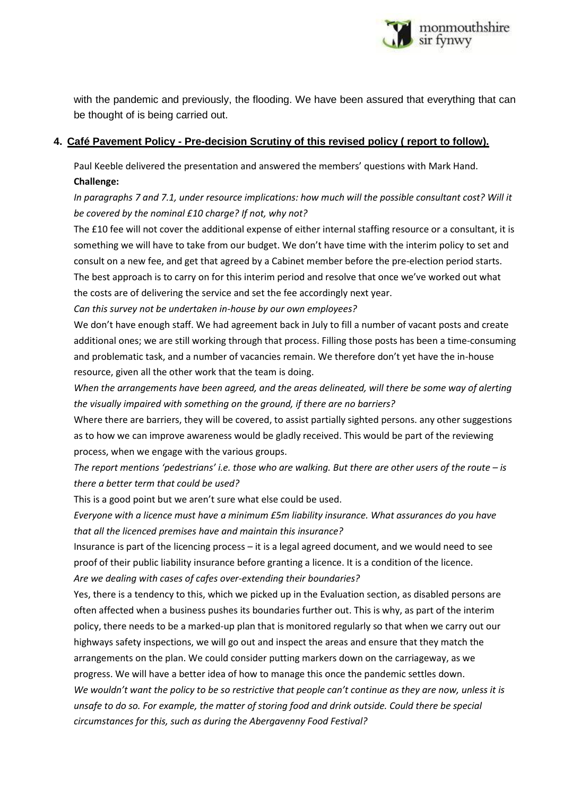

with the pandemic and previously, the flooding. We have been assured that everything that can be thought of is being carried out.

### **4. Café Pavement Policy - Pre-decision Scrutiny of this revised policy ( report to follow).**

Paul Keeble delivered the presentation and answered the members' questions with Mark Hand. **Challenge:**

*In paragraphs 7 and 7.1, under resource implications: how much will the possible consultant cost? Will it be covered by the nominal £10 charge? If not, why not?*

The £10 fee will not cover the additional expense of either internal staffing resource or a consultant, it is something we will have to take from our budget. We don't have time with the interim policy to set and consult on a new fee, and get that agreed by a Cabinet member before the pre-election period starts.

The best approach is to carry on for this interim period and resolve that once we've worked out what the costs are of delivering the service and set the fee accordingly next year.

*Can this survey not be undertaken in-house by our own employees?*

We don't have enough staff. We had agreement back in July to fill a number of vacant posts and create additional ones; we are still working through that process. Filling those posts has been a time-consuming and problematic task, and a number of vacancies remain. We therefore don't yet have the in-house resource, given all the other work that the team is doing.

*When the arrangements have been agreed, and the areas delineated, will there be some way of alerting the visually impaired with something on the ground, if there are no barriers?*

Where there are barriers, they will be covered, to assist partially sighted persons. any other suggestions as to how we can improve awareness would be gladly received. This would be part of the reviewing process, when we engage with the various groups.

*The report mentions 'pedestrians' i.e. those who are walking. But there are other users of the route – is there a better term that could be used?*

This is a good point but we aren't sure what else could be used.

*Everyone with a licence must have a minimum £5m liability insurance. What assurances do you have that all the licenced premises have and maintain this insurance?*

Insurance is part of the licencing process – it is a legal agreed document, and we would need to see proof of their public liability insurance before granting a licence. It is a condition of the licence. *Are we dealing with cases of cafes over-extending their boundaries?*

Yes, there is a tendency to this, which we picked up in the Evaluation section, as disabled persons are often affected when a business pushes its boundaries further out. This is why, as part of the interim policy, there needs to be a marked-up plan that is monitored regularly so that when we carry out our highways safety inspections, we will go out and inspect the areas and ensure that they match the arrangements on the plan. We could consider putting markers down on the carriageway, as we progress. We will have a better idea of how to manage this once the pandemic settles down. *We wouldn't want the policy to be so restrictive that people can't continue as they are now, unless it is unsafe to do so. For example, the matter of storing food and drink outside. Could there be special circumstances for this, such as during the Abergavenny Food Festival?*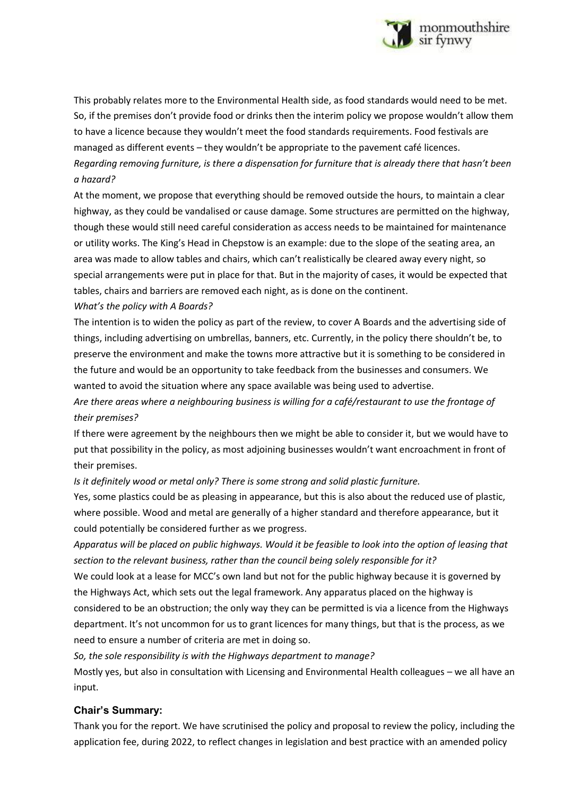

This probably relates more to the Environmental Health side, as food standards would need to be met. So, if the premises don't provide food or drinks then the interim policy we propose wouldn't allow them to have a licence because they wouldn't meet the food standards requirements. Food festivals are managed as different events – they wouldn't be appropriate to the pavement café licences. *Regarding removing furniture, is there a dispensation for furniture that is already there that hasn't been a hazard?*

At the moment, we propose that everything should be removed outside the hours, to maintain a clear highway, as they could be vandalised or cause damage. Some structures are permitted on the highway, though these would still need careful consideration as access needs to be maintained for maintenance or utility works. The King's Head in Chepstow is an example: due to the slope of the seating area, an area was made to allow tables and chairs, which can't realistically be cleared away every night, so special arrangements were put in place for that. But in the majority of cases, it would be expected that tables, chairs and barriers are removed each night, as is done on the continent.

*What's the policy with A Boards?*

The intention is to widen the policy as part of the review, to cover A Boards and the advertising side of things, including advertising on umbrellas, banners, etc. Currently, in the policy there shouldn't be, to preserve the environment and make the towns more attractive but it is something to be considered in the future and would be an opportunity to take feedback from the businesses and consumers. We wanted to avoid the situation where any space available was being used to advertise.

*Are there areas where a neighbouring business is willing for a café/restaurant to use the frontage of their premises?*

If there were agreement by the neighbours then we might be able to consider it, but we would have to put that possibility in the policy, as most adjoining businesses wouldn't want encroachment in front of their premises.

*Is it definitely wood or metal only? There is some strong and solid plastic furniture.*

Yes, some plastics could be as pleasing in appearance, but this is also about the reduced use of plastic, where possible. Wood and metal are generally of a higher standard and therefore appearance, but it could potentially be considered further as we progress.

*Apparatus will be placed on public highways. Would it be feasible to look into the option of leasing that section to the relevant business, rather than the council being solely responsible for it?*

We could look at a lease for MCC's own land but not for the public highway because it is governed by the Highways Act, which sets out the legal framework. Any apparatus placed on the highway is considered to be an obstruction; the only way they can be permitted is via a licence from the Highways department. It's not uncommon for us to grant licences for many things, but that is the process, as we need to ensure a number of criteria are met in doing so.

*So, the sole responsibility is with the Highways department to manage?*

Mostly yes, but also in consultation with Licensing and Environmental Health colleagues – we all have an input.

## **Chair's Summary:**

Thank you for the report. We have scrutinised the policy and proposal to review the policy, including the application fee, during 2022, to reflect changes in legislation and best practice with an amended policy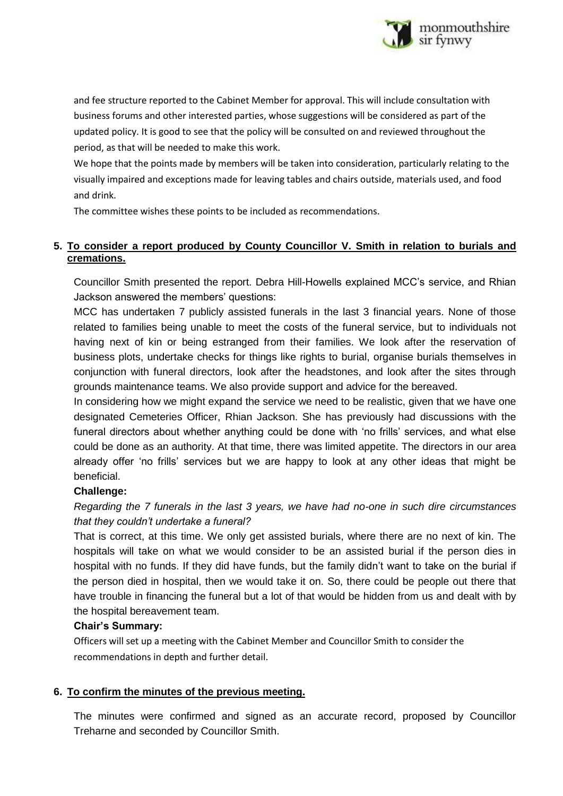

and fee structure reported to the Cabinet Member for approval. This will include consultation with business forums and other interested parties, whose suggestions will be considered as part of the updated policy. It is good to see that the policy will be consulted on and reviewed throughout the period, as that will be needed to make this work.

We hope that the points made by members will be taken into consideration, particularly relating to the visually impaired and exceptions made for leaving tables and chairs outside, materials used, and food and drink.

The committee wishes these points to be included as recommendations.

# **5. To consider a report produced by County Councillor V. Smith in relation to burials and cremations.**

Councillor Smith presented the report. Debra Hill-Howells explained MCC's service, and Rhian Jackson answered the members' questions:

MCC has undertaken 7 publicly assisted funerals in the last 3 financial years. None of those related to families being unable to meet the costs of the funeral service, but to individuals not having next of kin or being estranged from their families. We look after the reservation of business plots, undertake checks for things like rights to burial, organise burials themselves in conjunction with funeral directors, look after the headstones, and look after the sites through grounds maintenance teams. We also provide support and advice for the bereaved.

In considering how we might expand the service we need to be realistic, given that we have one designated Cemeteries Officer, Rhian Jackson. She has previously had discussions with the funeral directors about whether anything could be done with 'no frills' services, and what else could be done as an authority. At that time, there was limited appetite. The directors in our area already offer 'no frills' services but we are happy to look at any other ideas that might be beneficial.

# **Challenge:**

*Regarding the 7 funerals in the last 3 years, we have had no-one in such dire circumstances that they couldn't undertake a funeral?*

That is correct, at this time. We only get assisted burials, where there are no next of kin. The hospitals will take on what we would consider to be an assisted burial if the person dies in hospital with no funds. If they did have funds, but the family didn't want to take on the burial if the person died in hospital, then we would take it on. So, there could be people out there that have trouble in financing the funeral but a lot of that would be hidden from us and dealt with by the hospital bereavement team.

## **Chair's Summary:**

Officers will set up a meeting with the Cabinet Member and Councillor Smith to consider the recommendations in depth and further detail.

# **6. To confirm the minutes of the previous meeting.**

The minutes were confirmed and signed as an accurate record, proposed by Councillor Treharne and seconded by Councillor Smith.